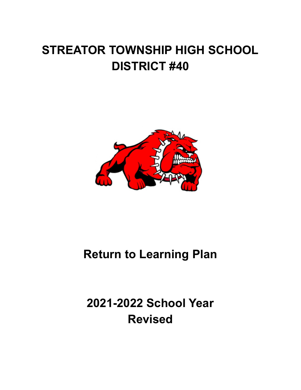# **STREATOR TOWNSHIP HIGH SCHOOL DISTRICT #40**



## **Return to Learning Plan**

**2021-2022 School Year Revised**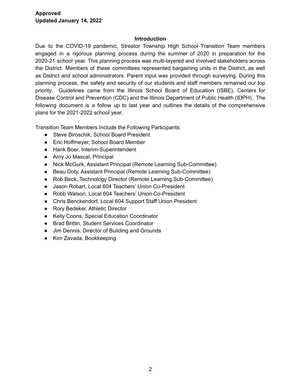#### **Introduction**

Due to the COVID-19 pandemic, Streator Township High School Transition Team members engaged in a rigorous planning process during the summer of 2020 in preparation for the 2020-21 school year. This planning process was multi-layered and involved stakeholders across the District. Members of these committees represented bargaining units in the District, as well as District and school administrators. Parent input was provided through surveying. During this planning process, the safety and security of our students and staff members remained our top priority. Guidelines came from the Illinois School Board of Education (ISBE), Centers for Disease Control and Prevention (CDC) and the Illinois Department of Public Health (IDPH).. The following document is a follow up to last year and outlines the details of the comprehensive plans for the 2021-2022 school year.

Transition Team Members Include the Following Participants:

- Steve Biroschik, School Board President
- Eric Hoffmeyer, School Board Member
- Hank Boer, Interim-Superintendent
- Amy Jo Mascal, Principal
- Nick McGurk, Assistant Principal (Remote Learning Sub-Committee)
- Beau Doty, Assistant Principal (Remote Learning Sub-Committee)
- Rob Beck, Technology Director (Remote Learning Sub-Committee)
- Jason Robart, Local 604 Teachers' Union Co-President
- Robb Watson, Local 604 Teachers' Union Co-President
- Chris Benckendorf, Local 604 Support Staff Union President
- Rory Bedeker, Athletic Director
- Kelly Coons, Special Education Coordinator
- Brad Brittin, Student Services Coordinator
- Jim Dennis, Director of Building and Grounds
- Kim Zavada, Bookkeeping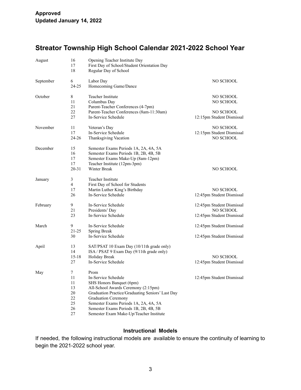## **Streator Township High School Calendar 2021-2022 School Year**

| August    | 16<br>17<br>18                                                | Opening Teacher Institute Day<br>First Day of School/Student Orientation Day<br>Regular Day of School                                                                                                                                                                                                         |                                                                     |
|-----------|---------------------------------------------------------------|---------------------------------------------------------------------------------------------------------------------------------------------------------------------------------------------------------------------------------------------------------------------------------------------------------------|---------------------------------------------------------------------|
| September | 6<br>24-25                                                    | Labor Day<br>Homecoming Game/Dance                                                                                                                                                                                                                                                                            | NO SCHOOL                                                           |
| October   | 8<br>11<br>21<br>22<br>27                                     | Teacher Institute<br>Columbus Day<br>Parent-Teacher Conferences (4-7pm)<br>Parent-Teacher Conferences (8am-11:30am)<br>In-Service Schedule                                                                                                                                                                    | NO SCHOOL<br>NO SCHOOL<br>NO SCHOOL<br>12:15pm Student Dismissal    |
| November  | 11<br>17<br>24-26                                             | Veteran's Day<br>In-Service Schedule<br>Thanksgiving Vacation                                                                                                                                                                                                                                                 | NO SCHOOL<br>12:15pm Student Dismissal<br>NO SCHOOL                 |
| December  | 15<br>16<br>17<br>17<br>$20 - 31$                             | Semester Exams Periods 1A, 2A, 4A, 5A<br>Semester Exams Periods 1B, 2B, 4B, 5B<br>Semester Exams Make-Up (8am-12pm)<br>Teacher Institute (12pm-3pm)<br>Winter Break                                                                                                                                           | NO SCHOOL                                                           |
| January   | 3<br>$\overline{4}$<br>17<br>26                               | Teacher Institute<br>First Day of School for Students<br>Martin Luther King's Birthday<br>In-Service Schedule                                                                                                                                                                                                 | NO SCHOOL<br>12:45pm Student Dismissal                              |
| February  | 9<br>21<br>23                                                 | In-Service Schedule<br>Presidents' Day<br>In-Service Schedule                                                                                                                                                                                                                                                 | 12:45pm Student Dismissal<br>NO SCHOOL<br>12:45pm Student Dismissal |
| March     | 9<br>$21 - 25$<br>30                                          | In-Service Schedule<br>Spring Break<br>In-Service Schedule                                                                                                                                                                                                                                                    | 12:45pm Student Dismissal<br>12:45pm Student Dismissal              |
| April     | 13<br>14<br>$15 - 18$<br>27                                   | SAT/PSAT 10 Exam Day (10/11th grade only)<br>ISA / PSAT 9 Exam Day (9/11th grade only)<br>Holiday Break<br>In-Service Schedule                                                                                                                                                                                | NO SCHOOL<br>12:45pm Student Dismissal                              |
| May       | 7<br>11<br>11<br>13<br>$20\,$<br>22<br>25<br>$26\,$<br>$27\,$ | Prom<br>In-Service Schedule<br>SHS Honors Banquet (6pm)<br>All-School Awards Ceremony (2:15pm)<br>Graduation Practice/Graduating Seniors' Last Day<br><b>Graduation Ceremony</b><br>Semester Exams Periods 1A, 2A, 4A, 5A<br>Semester Exams Periods 1B, 2B, 4B, 5B<br>Semester Exam Make-Up/Teacher Institute | 12:45pm Student Dismissal                                           |

## **Instructional Models**

If needed, the following instructional models are available to ensure the continuity of learning to begin the 2021-2022 school year.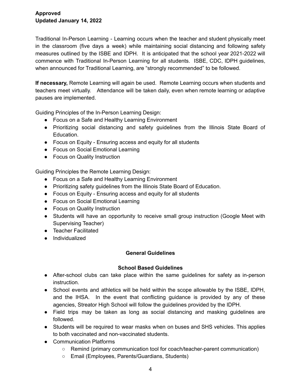Traditional In-Person Learning - Learning occurs when the teacher and student physically meet in the classroom (five days a week) while maintaining social distancing and following safety measures outlined by the ISBE and IDPH. It is anticipated that the school year 2021-2022 will commence with Traditional In-Person Learning for all students. ISBE, CDC, IDPH guidelines, when announced for Traditional Learning, are "strongly recommended" to be followed.

**If necessary,** Remote Learning will again be used. Remote Learning occurs when students and teachers meet virtually. Attendance will be taken daily, even when remote learning or adaptive pauses are implemented.

Guiding Principles of the In-Person Learning Design:

- Focus on a Safe and Healthy Learning Environment
- Prioritizing social distancing and safety guidelines from the Illinois State Board of Education.
- Focus on Equity Ensuring access and equity for all students
- Focus on Social Emotional Learning
- Focus on Quality Instruction

Guiding Principles the Remote Learning Design:

- Focus on a Safe and Healthy Learning Environment
- Prioritizing safety guidelines from the Illinois State Board of Education.
- Focus on Equity Ensuring access and equity for all students
- Focus on Social Emotional Learning
- Focus on Quality Instruction
- Students will have an opportunity to receive small group instruction (Google Meet with Supervising Teacher)
- Teacher Facilitated
- Individualized

### **General Guidelines**

### **School Based Guidelines**

- After-school clubs can take place within the same quidelines for safety as in-person instruction.
- School events and athletics will be held within the scope allowable by the ISBE, IDPH, and the IHSA. In the event that conflicting guidance is provided by any of these agencies, Streator High School will follow the guidelines provided by the IDPH.
- Field trips may be taken as long as social distancing and masking guidelines are followed.
- Students will be required to wear masks when on buses and SHS vehicles. This applies to both vaccinated and non-vaccinated students.
- Communication Platforms
	- Remind (primary communication tool for coach/teacher-parent communication)
	- Email (Employees, Parents/Guardians, Students)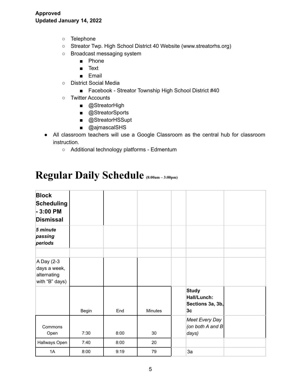- Telephone
- Streator Twp. High School District 40 Website (www.streatorhs.org)
- Broadcast messaging system
	- Phone
	- Text
	- Email
- District Social Media
	- Facebook Streator Township High School District #40
- Twitter Accounts
	- @StreatorHigh
	- @StreatorSports
	- @StreatorHSSupt
	- @ajmascalSHS
- All classroom teachers will use a Google Classroom as the central hub for classroom instruction.
	- Additional technology platforms Edmentum

## **Regular Daily Schedule (8:00am – 3:00pm)**

| <b>Block</b><br><b>Scheduling</b><br>$-3:00$ PM<br><b>Dismissal</b> |       |      |         |                                                       |  |
|---------------------------------------------------------------------|-------|------|---------|-------------------------------------------------------|--|
| 5 minute<br>passing<br>periods                                      |       |      |         |                                                       |  |
|                                                                     |       |      |         |                                                       |  |
| A Day (2-3<br>days a week,<br>alternating<br>with "B" days)         |       |      |         |                                                       |  |
|                                                                     | Begin | End  | Minutes | <b>Study</b><br>Hall/Lunch:<br>Sections 3a, 3b,<br>3c |  |
| Commons<br>Open                                                     | 7:30  | 8:00 | 30      | Meet Every Day<br>(on both A and B<br>days)           |  |
| Hallways Open                                                       | 7:40  | 8:00 | 20      |                                                       |  |
| 1A                                                                  | 8:00  | 9:19 | 79      | 3a                                                    |  |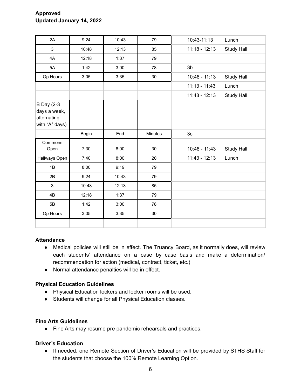| 2A                                                                 | 9:24  | 10:43 | 79      | 10:43-11:13     | Lunch      |
|--------------------------------------------------------------------|-------|-------|---------|-----------------|------------|
| 3                                                                  | 10:48 | 12:13 | 85      | $11:18 - 12:13$ | Study Hall |
| 4A                                                                 | 12:18 | 1:37  | 79      |                 |            |
| 5A                                                                 | 1:42  | 3:00  | 78      | 3 <sub>b</sub>  |            |
| Op Hours                                                           | 3:05  | 3:35  | 30      | $10:48 - 11:13$ | Study Hall |
|                                                                    |       |       |         | $11:13 - 11:43$ | Lunch      |
|                                                                    |       |       |         | $11:48 - 12:13$ | Study Hall |
| <b>B</b> Day (2-3<br>days a week,<br>alternating<br>with "A" days) |       |       |         |                 |            |
|                                                                    | Begin | End   | Minutes | 3 <sub>c</sub>  |            |
| Commons<br>Open                                                    | 7:30  | 8:00  | 30      | $10:48 - 11:43$ | Study Hall |
| Hallways Open                                                      | 7:40  | 8:00  | 20      | $11:43 - 12:13$ | Lunch      |
| 1B                                                                 | 8:00  | 9:19  | 79      |                 |            |
| 2B                                                                 | 9:24  | 10:43 | 79      |                 |            |
| 3                                                                  | 10:48 | 12:13 | 85      |                 |            |
| 4B                                                                 | 12:18 | 1:37  | 79      |                 |            |
| 5B                                                                 | 1:42  | 3:00  | 78      |                 |            |
| Op Hours                                                           | 3:05  | 3:35  | 30      |                 |            |
|                                                                    |       |       |         |                 |            |

### **Attendance**

- Medical policies will still be in effect. The Truancy Board, as it normally does, will review each students' attendance on a case by case basis and make a determination/ recommendation for action (medical, contract, ticket, etc.)
- Normal attendance penalties will be in effect.

### **Physical Education Guidelines**

- Physical Education lockers and locker rooms will be used.
- Students will change for all Physical Education classes.

#### **Fine Arts Guidelines**

● Fine Arts may resume pre pandemic rehearsals and practices.

#### **Driver's Education**

● If needed, one Remote Section of Driver's Education will be provided by STHS Staff for the students that choose the 100% Remote Learning Option.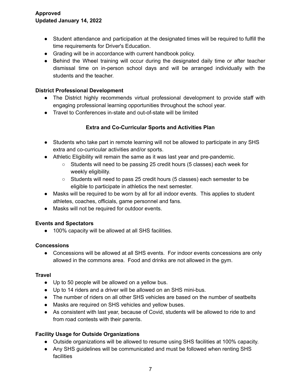## **Approved Updated January 14, 2022**

- Student attendance and participation at the designated times will be required to fulfill the time requirements for Driver's Education.
- Grading will be in accordance with current handbook policy.
- Behind the Wheel training will occur during the designated daily time or after teacher dismissal time on in-person school days and will be arranged individually with the students and the teacher.

## **District Professional Development**

- The District highly recommends virtual professional development to provide staff with engaging professional learning opportunities throughout the school year.
- Travel to Conferences in-state and out-of-state will be limited

## **Extra and Co-Curricular Sports and Activities Plan**

- Students who take part in remote learning will not be allowed to participate in any SHS extra and co-curricular activities and/or sports.
- Athletic Eligibility will remain the same as it was last year and pre-pandemic.
	- Students will need to be passing 25 credit hours (5 classes) each week for weekly eligibility.
	- Students will need to pass 25 credit hours (5 classes) each semester to be eligible to participate in athletics the next semester.
- Masks will be required to be worn by all for all indoor events. This applies to student athletes, coaches, officials, game personnel and fans.
- Masks will not be required for outdoor events.

### **Events and Spectators**

● 100% capacity will be allowed at all SHS facilities.

### **Concessions**

• Concessions will be allowed at all SHS events. For indoor events concessions are only allowed in the commons area. Food and drinks are not allowed in the gym.

### **Travel**

- Up to 50 people will be allowed on a yellow bus.
- Up to 14 riders and a driver will be allowed on an SHS mini-bus.
- The number of riders on all other SHS vehicles are based on the number of seatbelts
- Masks are required on SHS vehicles and yellow buses.
- As consistent with last year, because of Covid, students will be allowed to ride to and from road contests with their parents.

## **Facility Usage for Outside Organizations**

- Outside organizations will be allowed to resume using SHS facilities at 100% capacity.
- Any SHS guidelines will be communicated and must be followed when renting SHS **facilities**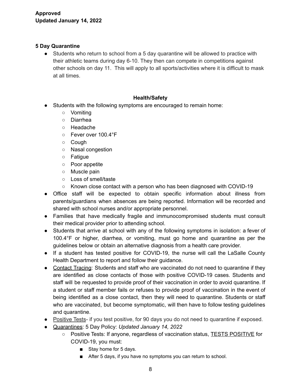## **5 Day Quarantine**

● Students who return to school from a 5 day quarantine will be allowed to practice with their athletic teams during day 6-10. They then can compete in competitions against other schools on day 11. This will apply to all sports/activities where it is difficult to mask at all times.

## **Health/Safety**

- Students with the following symptoms are encouraged to remain home:
	- Vomiting
	- Diarrhea
	- Headache
	- Fever over 100.4°F
	- Cough
	- Nasal congestion
	- Fatigue
	- Poor appetite
	- Muscle pain
	- Loss of smell/taste
	- Known close contact with a person who has been diagnosed with COVID-19
- Office staff will be expected to obtain specific information about illness from parents/guardians when absences are being reported. Information will be recorded and shared with school nurses and/or appropriate personnel.
- Families that have medically fragile and immunocompromised students must consult their medical provider prior to attending school.
- Students that arrive at school with any of the following symptoms in isolation: a fever of 100.4°F or higher, diarrhea, or vomiting, must go home and quarantine as per the guidelines below or obtain an alternative diagnosis from a health care provider.
- If a student has tested positive for COVID-19, the nurse will call the LaSalle County Health Department to report and follow their guidance.
- Contact Tracing: Students and staff who are vaccinated do not need to quarantine if they are identified as close contacts of those with positive COVID-19 cases. Students and staff will be requested to provide proof of their vaccination in order to avoid quarantine. If a student or staff member fails or refuses to provide proof of vaccination in the event of being identified as a close contact, then they will need to quarantine. Students or staff who are vaccinated, but become symptomatic, will then have to follow testing guidelines and quarantine.
- Positive Tests- if you test positive, for 90 days you do not need to quarantine if exposed.
- Quarantines: 5 Day Policy: *Updated January 14, 2022*
	- *○* Positive Tests: If anyone, regardless of vaccination status, TESTS POSITIVE for COVID-19, you must:
		- Stay home for 5 days.
		- After 5 days, if you have no symptoms you can return to school.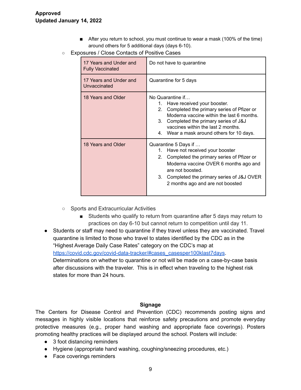- After you return to school, you must continue to wear a mask (100% of the time) around others for 5 additional days (days 6-10).
- Exposures / Close Contacts of Positive Cases

| 17 Years and Under and<br><b>Fully Vaccinated</b> | Do not have to quarantine                                                                                                                                                                                                                                                             |  |  |
|---------------------------------------------------|---------------------------------------------------------------------------------------------------------------------------------------------------------------------------------------------------------------------------------------------------------------------------------------|--|--|
| 17 Years and Under and<br>Unvaccinated            | Quarantine for 5 days                                                                                                                                                                                                                                                                 |  |  |
| 18 Years and Older                                | No Quarantine if<br>Have received your booster.<br>1.<br>Completed the primary series of Pfizer or<br>2.<br>Moderna vaccine within the last 6 months.<br>Completed the primary series of J&J<br>3.<br>vaccines within the last 2 months.<br>4. Wear a mask around others for 10 days. |  |  |
| 18 Years and Older                                | Quarantine 5 Days if<br>Have not received your booster<br>1.<br>Completed the primary series of Pfizer or<br>2.<br>Moderna vaccine OVER 6 months ago and<br>are not boosted.<br>3.<br>Completed the primary series of J&J OVER<br>2 months ago and are not boosted                    |  |  |

- Sports and Extracurricular Activities
	- Students who qualify to return from quarantine after 5 days may return to practices on day 6-10 but cannot return to competition until day 11.
- Students or staff may need to quarantine if they travel unless they are vaccinated. Travel quarantine is limited to those who travel to states identified by the CDC as in the "Highest Average Daily Case Rates" category on the CDC's map at [https://covid.cdc.gov/covid-data-tracker/#cases\\_casesper100klast7days](https://covid.cdc.gov/covid-data-tracker/#cases_casesper100klast7days). Determinations on whether to quarantine or not will be made on a case-by-case basis after discussions with the traveler. This is in effect when traveling to the highest risk states for more than 24 hours.

#### **Signage**

The Centers for Disease Control and Prevention (CDC) recommends posting signs and messages in highly visible locations that reinforce safety precautions and promote everyday protective measures (e.g., proper hand washing and appropriate face coverings). Posters promoting healthy practices will be displayed around the school. Posters will include:

- 3 foot distancing reminders
- Hygiene (appropriate hand washing, coughing/sneezing procedures, etc.)
- Face coverings reminders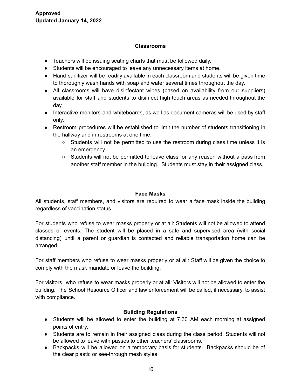#### **Classrooms**

- Teachers will be issuing seating charts that must be followed daily.
- Students will be encouraged to leave any unnecessary items at home.
- Hand sanitizer will be readily available in each classroom and students will be given time to thoroughly wash hands with soap and water several times throughout the day.
- All classrooms will have disinfectant wipes (based on availability from our suppliers) available for staff and students to disinfect high touch areas as needed throughout the day.
- Interactive monitors and whiteboards, as well as document cameras will be used by staff only.
- Restroom procedures will be established to limit the number of students transitioning in the hallway and in restrooms at one time.
	- Students will not be permitted to use the restroom during class time unless it is an emergency.
	- Students will not be permitted to leave class for any reason without a pass from another staff member in the building. Students must stay in their assigned class.

#### **Face Masks**

All students, staff members, and visitors are required to wear a face mask inside the building regardless of vaccination status.

For students who refuse to wear masks properly or at all: Students will not be allowed to attend classes or events. The student will be placed in a safe and supervised area (with social distancing) until a parent or guardian is contacted and reliable transportation home can be arranged.

For staff members who refuse to wear masks properly or at all: Staff will be given the choice to comply with the mask mandate or leave the building.

For visitors who refuse to wear masks properly or at all: Visitors will not be allowed to enter the building. The School Resource Officer and law enforcement will be called, if necessary, to assist with compliance.

### **Building Regulations**

- Students will be allowed to enter the building at 7:30 AM each morning at assigned points of entry.
- Students are to remain in their assigned class during the class period. Students will not be allowed to leave with passes to other teachers' classrooms.
- Backpacks will be allowed on a temporary basis for students. Backpacks should be of the clear plastic or see-through mesh styles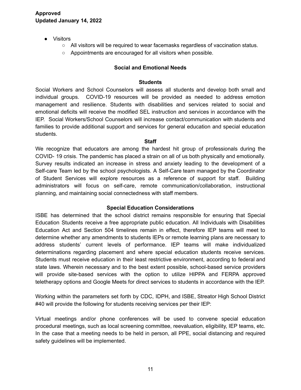- Visitors
	- All visitors will be required to wear facemasks regardless of vaccination status.
	- Appointments are encouraged for all visitors when possible.

## **Social and Emotional Needs**

#### **Students**

Social Workers and School Counselors will assess all students and develop both small and individual groups. COVID-19 resources will be provided as needed to address emotion management and resilience. Students with disabilities and services related to social and emotional deficits will receive the modified SEL instruction and services in accordance with the IEP. Social Workers/School Counselors will increase contact/communication with students and families to provide additional support and services for general education and special education students.

#### **Staff**

We recognize that educators are among the hardest hit group of professionals during the COVID- 19 crisis. The pandemic has placed a strain on all of us both physically and emotionally. Survey results indicated an increase in stress and anxiety leading to the development of a Self-care Team led by the school psychologists. A Self-Care team managed by the Coordinator of Student Services will explore resources as a reference of support for staff. Building administrators will focus on self-care, remote communication/collaboration, instructional planning, and maintaining social connectedness with staff members.

#### **Special Education Considerations**

ISBE has determined that the school district remains responsible for ensuring that Special Education Students receive a free appropriate public education. All Individuals with Disabilities Education Act and Section 504 timelines remain in effect, therefore IEP teams will meet to determine whether any amendments to students IEPs or remote learning plans are necessary to address students' current levels of performance. IEP teams will make individualized determinations regarding placement and where special education students receive services. Students must receive education in their least restrictive environment, according to federal and state laws. Wherein necessary and to the best extent possible, school-based service providers will provide site-based services with the option to utilize HIPPA and FERPA approved teletherapy options and Google Meets for direct services to students in accordance with the IEP.

Working within the parameters set forth by CDC, IDPH, and ISBE, Streator High School District #40 will provide the following for students receiving services per their IEP:

Virtual meetings and/or phone conferences will be used to convene special education procedural meetings, such as local screening committee, reevaluation, eligibility, IEP teams, etc. In the case that a meeting needs to be held in person, all PPE, social distancing and required safety guidelines will be implemented.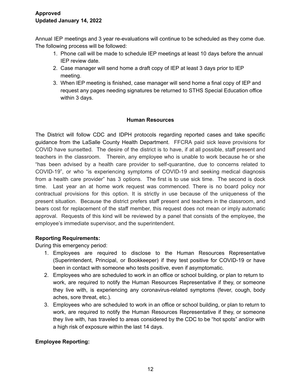Annual IEP meetings and 3 year re-evaluations will continue to be scheduled as they come due. The following process will be followed:

- 1. Phone call will be made to schedule IEP meetings at least 10 days before the annual IEP review date.
- 2. Case manager will send home a draft copy of IEP at least 3 days prior to IEP meeting.
- 3. When IEP meeting is finished, case manager will send home a final copy of IEP and request any pages needing signatures be returned to STHS Special Education office within 3 days.

## **Human Resources**

The District will follow CDC and IDPH protocols regarding reported cases and take specific guidance from the LaSalle County Health Department. FFCRA paid sick leave provisions for COVID have sunsetted. The desire of the district is to have, if at all possible, staff present and teachers in the classroom. Therein, any employee who is unable to work because he or she "has been advised by a health care provider to self-quarantine, due to concerns related to COVID-19", or who "is experiencing symptoms of COVID-19 and seeking medical diagnosis from a health care provider" has 3 options. The first is to use sick time. The second is dock time. Last year an at home work request was commenced. There is no board policy nor contractual provisions for this option. It is strictly in use because of the uniqueness of the present situation. Because the district prefers staff present and teachers in the classroom, and bears cost for replacement of the staff member, this request does not mean or imply automatic approval. Requests of this kind will be reviewed by a panel that consists of the employee, the employee's immediate supervisor, and the superintendent.

### **Reporting Requirements:**

During this emergency period:

- 1. Employees are required to disclose to the Human Resources Representative (Superintendent, Principal, or Bookkeeper) if they test positive for COVID-19 or have been in contact with someone who tests positive, even if asymptomatic.
- 2. Employees who are scheduled to work in an office or school building, or plan to return to work, are required to notify the Human Resources Representative if they, or someone they live with, is experiencing any coronavirus-related symptoms (fever, cough, body aches, sore threat, etc.).
- 3. Employees who are scheduled to work in an office or school building, or plan to return to work, are required to notify the Human Resources Representative if they, or someone they live with, has traveled to areas considered by the CDC to be "hot spots" and/or with a high risk of exposure within the last 14 days.

## **Employee Reporting:**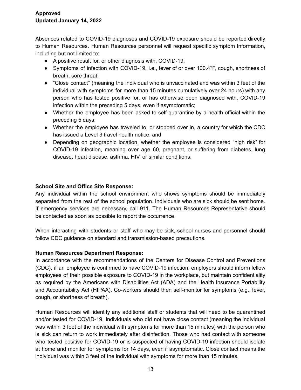Absences related to COVID-19 diagnoses and COVID-19 exposure should be reported directly to Human Resources. Human Resources personnel will request specific symptom Information, including but not limited to:

- A positive result for, or other diagnosis with, COVID-19;
- Symptoms of infection with COVID-19, i.e., fever of or over 100.4°F, cough, shortness of breath, sore throat;
- "Close contact" (meaning the individual who is unvaccinated and was within 3 feet of the individual with symptoms for more than 15 minutes cumulatively over 24 hours) with any person who has tested positive for, or has otherwise been diagnosed with, COVID-19 infection within the preceding 5 days, even if asymptomatic;
- Whether the employee has been asked to self-quarantine by a health official within the preceding 5 days;
- Whether the employee has traveled to, or stopped over in, a country for which the CDC has issued a Level 3 travel health notice; and
- Depending on geographic location, whether the employee is considered "high risk" for COVID-19 infection, meaning over age 60, pregnant, or suffering from diabetes, lung disease, heart disease, asthma, HIV, or similar conditions.

## **School Site and Office Site Response:**

Any individual within the school environment who shows symptoms should be immediately separated from the rest of the school population. Individuals who are sick should be sent home. If emergency services are necessary, call 911. The Human Resources Representative should be contacted as soon as possible to report the occurrence.

When interacting with students or staff who may be sick, school nurses and personnel should follow CDC guidance on standard and transmission-based precautions.

### **Human Resources Department Response:**

In accordance with the recommendations of the Centers for Disease Control and Preventions (CDC), if an employee is confirmed to have COVID-19 infection, employers should inform fellow employees of their possible exposure to COVID-19 in the workplace, but maintain confidentiality as required by the Americans with Disabilities Act (ADA) and the Health Insurance Portability and Accountability Act (HIPAA). Co-workers should then self-monitor for symptoms (e.g., fever, cough, or shortness of breath).

Human Resources will identify any additional staff or students that will need to be quarantined and/or tested for COVID-19. Individuals who did not have close contact (meaning the individual was within 3 feet of the individual with symptoms for more than 15 minutes) with the person who is sick can return to work immediately after disinfection. Those who had contact with someone who tested positive for COVID-19 or is suspected of having COVID-19 infection should isolate at home and monitor for symptoms for 14 days, even if asymptomatic. Close contact means the individual was within 3 feet of the individual with symptoms for more than 15 minutes.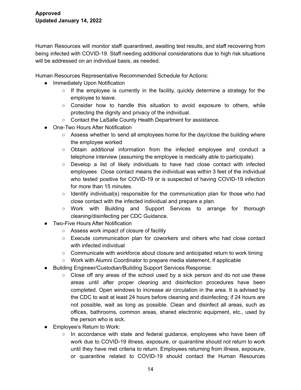Human Resources will monitor staff quarantined, awaiting test results, and staff recovering from being infected with COVID-19. Staff needing additional considerations due to high risk situations will be addressed on an individual basis, as needed.

Human Resources Representative Recommended Schedule for Actions:

- Immediately Upon Notification
	- $\circ$  If the employee is currently in the facility, quickly determine a strategy for the employee to leave.
	- Consider how to handle this situation to avoid exposure to others, while protecting the dignity and privacy of the individual.
	- Contact the LaSalle County Health Department for assistance.
- One-Two Hours After Notification
	- $\circ$  Assess whether to send all employees home for the day/close the building where the employee worked
	- Obtain additional information from the infected employee and conduct a telephone interview (assuming the employee is medically able to participate).
	- $\circ$  Develop a list of likely individuals to have had close contact with infected employees Close contact means the individual was within 3 feet of the individual who tested positive for COVID-19 or is suspected of having COVID-19 infection for more than 15 minutes.
	- $\circ$  Identify individual(s) responsible for the communication plan for those who had close contact with the infected individual and prepare a plan.
	- Work with Building and Support Services to arrange for thorough cleaning/disinfecting per CDC Guidance.
- Two-Five Hours After Notification
	- Assess work impact of closure of facility
	- Execute communication plan for coworkers and others who had close contact with infected individual
	- Communicate with workforce about closure and anticipated return to work timing
	- Work with Alumni Coordinator to prepare media statement, if applicable
- Building Engineer/Custodian/Building Support Services Response:
	- $\circ$  Close off any areas of the school used by a sick person and do not use these areas until after proper cleaning and disinfection procedures have been completed. Open windows to increase air circulation in the area. It is advised by the CDC to wait at least 24 hours before cleaning and disinfecting; if 24 hours are not possible, wait as long as possible. Clean and disinfect all areas, such as offices, bathrooms, common areas, shared electronic equipment, etc., used by the person who is sick.
- Employee's Return to Work:
	- $\circ$  In accordance with state and federal guidance, employees who have been off work due to COVID-19 illness, exposure, or quarantine should not return to work until they have met criteria to return. Employees returning from illness, exposure, or quarantine related to COVID-19 should contact the Human Resources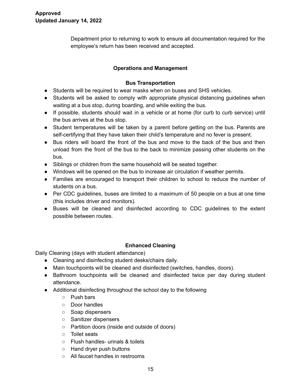Department prior to returning to work to ensure all documentation required for the employee's return has been received and accepted.

## **Operations and Management**

## **Bus Transportation**

- Students will be required to wear masks when on buses and SHS vehicles.
- Students will be asked to comply with appropriate physical distancing guidelines when waiting at a bus stop, during boarding, and while exiting the bus.
- If possible, students should wait in a vehicle or at home (for curb to curb service) until the bus arrives at the bus stop.
- Student temperatures will be taken by a parent before getting on the bus. Parents are self-certifying that they have taken their child's temperature and no fever is present.
- Bus riders will board the front of the bus and move to the back of the bus and then unload from the front of the bus to the back to minimize passing other students on the bus.
- Siblings or children from the same household will be seated together.
- Windows will be opened on the bus to increase air circulation if weather permits.
- Families are encouraged to transport their children to school to reduce the number of students on a bus.
- Per CDC guidelines, buses are limited to a maximum of 50 people on a bus at one time (this includes driver and monitors).
- Buses will be cleaned and disinfected according to CDC guidelines to the extent possible between routes.

### **Enhanced Cleaning**

Daily Cleaning (days with student attendance)

- Cleaning and disinfecting student desks/chairs daily.
- Main touchpoints will be cleaned and disinfected (switches, handles, doors).
- Bathroom touchpoints will be cleaned and disinfected twice per day during student attendance.
- Additional disinfecting throughout the school day to the following
	- Push bars
	- Door handles
	- Soap dispensers
	- Sanitizer dispensers
	- Partition doors (inside and outside of doors)
	- Toilet seats
	- Flush handles- urinals & toilets
	- Hand dryer push buttons
	- All faucet handles in restrooms